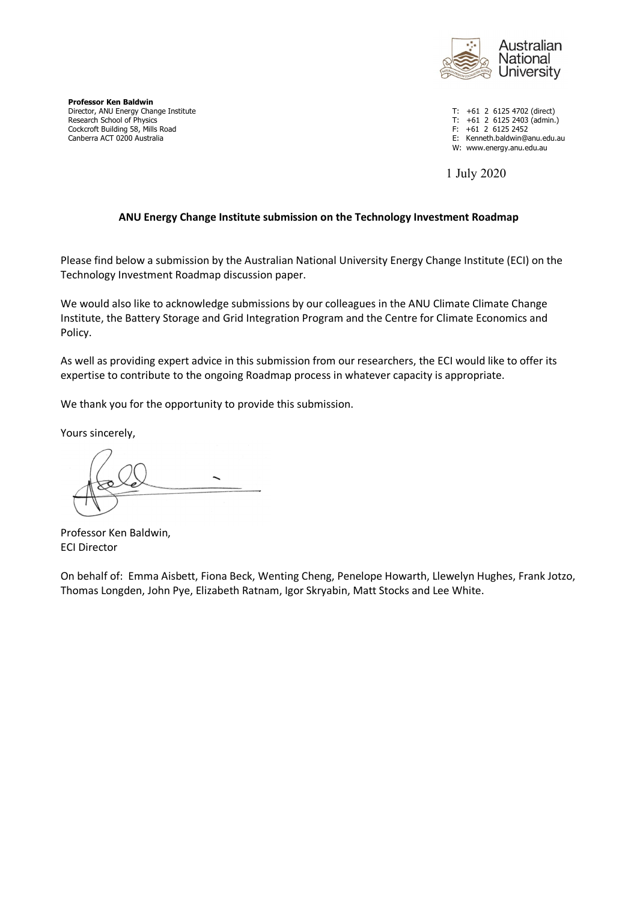

**Professor Ken Baldwin** Director, ANU Energy Change Institute T: +61 2 6125 4702 (direct)<br>
Research School of Physics T: +61 2 6125 2403 (admin. Cockcroft Building 58, Mills Road<br>Canberra ACT 0200 Australia

 $T: +61$  2 6125 2403 (admin.)<br>F:  $+61$  2 6125 2452 E: Kenneth.baldwin@anu.edu.au

W: www.energy.anu.edu.au

1 July 2020

## **ANU Energy Change Institute submission on the Technology Investment Roadmap**

Please find below a submission by the Australian National University Energy Change Institute (ECI) on the Technology Investment Roadmap discussion paper.

We would also like to acknowledge submissions by our colleagues in the ANU Climate Climate Change Institute, the Battery Storage and Grid Integration Program and the Centre for Climate Economics and Policy.

As well as providing expert advice in this submission from our researchers, the ECI would like to offer its expertise to contribute to the ongoing Roadmap process in whatever capacity is appropriate.

We thank you for the opportunity to provide this submission.

Yours sincerely,

Professor Ken Baldwin, ECI Director

On behalf of: Emma Aisbett, Fiona Beck, Wenting Cheng, Penelope Howarth, Llewelyn Hughes, Frank Jotzo, Thomas Longden, John Pye, Elizabeth Ratnam, Igor Skryabin, Matt Stocks and Lee White.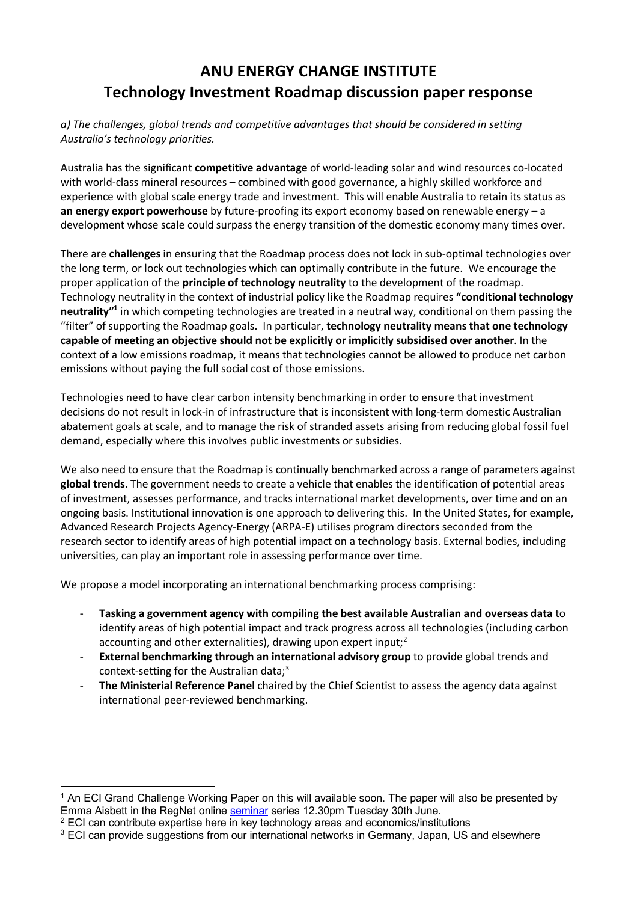# **ANU ENERGY CHANGE INSTITUTE Technology Investment Roadmap discussion paper response**

## *a) The challenges, global trends and competitive advantages that should be considered in setting Australia's technology priorities.*

Australia has the significant **competitive advantage** of world-leading solar and wind resources co-located with world-class mineral resources – combined with good governance, a highly skilled workforce and experience with global scale energy trade and investment. This will enable Australia to retain its status as **an energy export powerhouse** by future-proofing its export economy based on renewable energy – a development whose scale could surpass the energy transition of the domestic economy many times over.

There are **challenges** in ensuring that the Roadmap process does not lock in sub-optimal technologies over the long term, or lock out technologies which can optimally contribute in the future. We encourage the proper application of the **principle of technology neutrality** to the development of the roadmap. Technology neutrality in the context of industrial policy like the Roadmap requires **"conditional technology neutrality"1** in which competing technologies are treated in a neutral way, conditional on them passing the "filter" of supporting the Roadmap goals. In particular, **technology neutrality means that one technology capable of meeting an objective should not be explicitly or implicitly subsidised over another**. In the context of a low emissions roadmap, it means that technologies cannot be allowed to produce net carbon emissions without paying the full social cost of those emissions.

Technologies need to have clear carbon intensity benchmarking in order to ensure that investment decisions do not result in lock-in of infrastructure that is inconsistent with long-term domestic Australian abatement goals at scale, and to manage the risk of stranded assets arising from reducing global fossil fuel demand, especially where this involves public investments or subsidies.

We also need to ensure that the Roadmap is continually benchmarked across a range of parameters against **global trends**. The government needs to create a vehicle that enables the identification of potential areas of investment, assesses performance, and tracks international market developments, over time and on an ongoing basis. Institutional innovation is one approach to delivering this. In the United States, for example, Advanced Research Projects Agency-Energy (ARPA-E) utilises program directors seconded from the research sector to identify areas of high potential impact on a technology basis. External bodies, including universities, can play an important role in assessing performance over time.

We propose a model incorporating an international benchmarking process comprising:

- **Tasking a government agency with compiling the best available Australian and overseas data** to identify areas of high potential impact and track progress across all technologies (including carbon accounting and other externalities), drawing upon expert input;<sup>2</sup>
- **External benchmarking through an international advisory group** to provide global trends and context-setting for the Australian data;3
- The Ministerial Reference Panel chaired by the Chief Scientist to assess the agency data against international peer-reviewed benchmarking.

 $\overline{a}$ 

<sup>&</sup>lt;sup>1</sup> An ECI Grand Challenge Working Paper on this will available soon. The paper will also be presented by Emma Aisbett in the RegNet online seminar series 12.30pm Tuesday 30th June.

<sup>&</sup>lt;sup>2</sup> ECI can contribute expertise here in key technology areas and economics/institutions

 $3$  ECI can provide suggestions from our international networks in Germany, Japan, US and elsewhere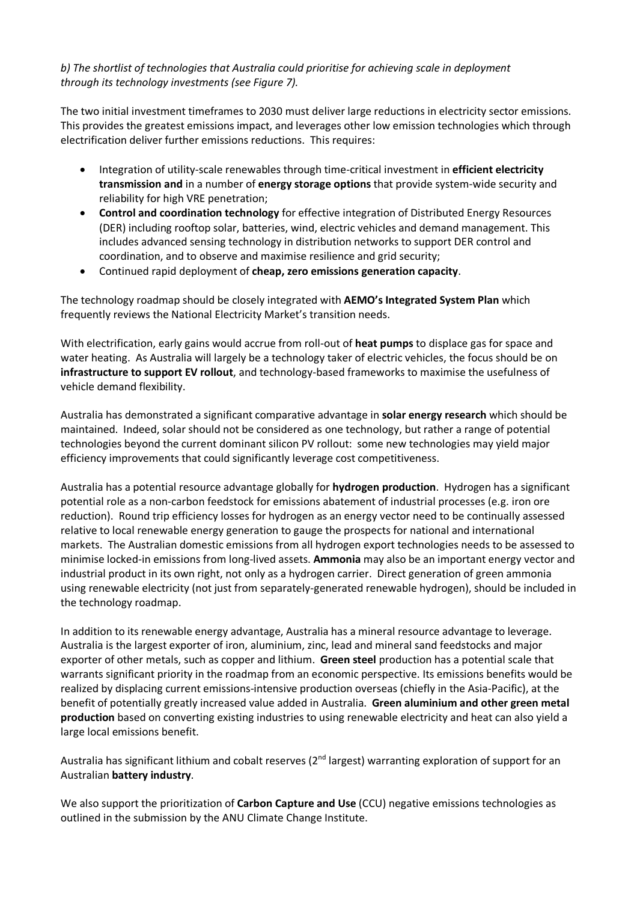## *b) The shortlist of technologies that Australia could prioritise for achieving scale in deployment through its technology investments (see Figure 7).*

The two initial investment timeframes to 2030 must deliver large reductions in electricity sector emissions. This provides the greatest emissions impact, and leverages other low emission technologies which through electrification deliver further emissions reductions. This requires:

- Integration of utility-scale renewables through time-critical investment in **efficient electricity transmission and** in a number of **energy storage options** that provide system-wide security and reliability for high VRE penetration;
- **Control and coordination technology** for effective integration of Distributed Energy Resources (DER) including rooftop solar, batteries, wind, electric vehicles and demand management. This includes advanced sensing technology in distribution networks to support DER control and coordination, and to observe and maximise resilience and grid security;
- Continued rapid deployment of **cheap, zero emissions generation capacity**.

The technology roadmap should be closely integrated with **AEMO's Integrated System Plan** which frequently reviews the National Electricity Market's transition needs.

With electrification, early gains would accrue from roll-out of **heat pumps** to displace gas for space and water heating. As Australia will largely be a technology taker of electric vehicles, the focus should be on **infrastructure to support EV rollout**, and technology-based frameworks to maximise the usefulness of vehicle demand flexibility.

Australia has demonstrated a significant comparative advantage in **solar energy research** which should be maintained. Indeed, solar should not be considered as one technology, but rather a range of potential technologies beyond the current dominant silicon PV rollout: some new technologies may yield major efficiency improvements that could significantly leverage cost competitiveness.

Australia has a potential resource advantage globally for **hydrogen production**. Hydrogen has a significant potential role as a non-carbon feedstock for emissions abatement of industrial processes (e.g. iron ore reduction). Round trip efficiency losses for hydrogen as an energy vector need to be continually assessed relative to local renewable energy generation to gauge the prospects for national and international markets. The Australian domestic emissions from all hydrogen export technologies needs to be assessed to minimise locked-in emissions from long-lived assets. **Ammonia** may also be an important energy vector and industrial product in its own right, not only as a hydrogen carrier. Direct generation of green ammonia using renewable electricity (not just from separately-generated renewable hydrogen), should be included in the technology roadmap.

In addition to its renewable energy advantage, Australia has a mineral resource advantage to leverage. Australia is the largest exporter of iron, aluminium, zinc, lead and mineral sand feedstocks and major exporter of other metals, such as copper and lithium. **Green steel** production has a potential scale that warrants significant priority in the roadmap from an economic perspective. Its emissions benefits would be realized by displacing current emissions-intensive production overseas (chiefly in the Asia-Pacific), at the benefit of potentially greatly increased value added in Australia. **Green aluminium and other green metal production** based on converting existing industries to using renewable electricity and heat can also yield a large local emissions benefit.

Australia has significant lithium and cobalt reserves (2<sup>nd</sup> largest) warranting exploration of support for an Australian **battery industry**.

We also support the prioritization of **Carbon Capture and Use** (CCU) negative emissions technologies as outlined in the submission by the ANU Climate Change Institute.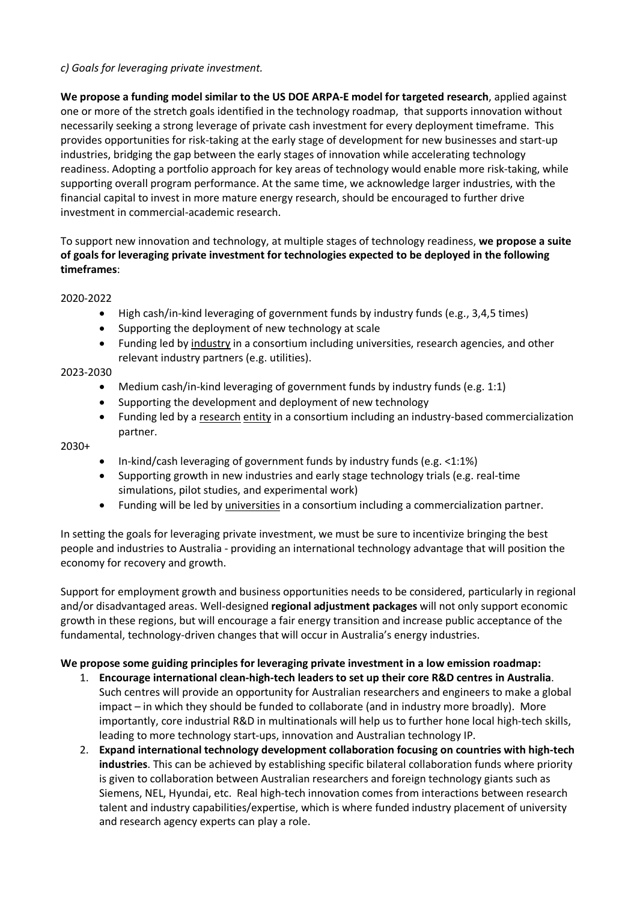## *c) Goals for leveraging private investment.*

**We propose a funding model similar to the US DOE ARPA-E model for targeted research**, applied against one or more of the stretch goals identified in the technology roadmap, that supports innovation without necessarily seeking a strong leverage of private cash investment for every deployment timeframe. This provides opportunities for risk-taking at the early stage of development for new businesses and start-up industries, bridging the gap between the early stages of innovation while accelerating technology readiness. Adopting a portfolio approach for key areas of technology would enable more risk-taking, while supporting overall program performance. At the same time, we acknowledge larger industries, with the financial capital to invest in more mature energy research, should be encouraged to further drive investment in commercial-academic research.

To support new innovation and technology, at multiple stages of technology readiness, **we propose a suite of goals for leveraging private investment for technologies expected to be deployed in the following timeframes**:

### 2020-2022

- High cash/in-kind leveraging of government funds by industry funds (e.g., 3,4,5 times)
- Supporting the deployment of new technology at scale
- Funding led by industry in a consortium including universities, research agencies, and other relevant industry partners (e.g. utilities).

### 2023-2030

- Medium cash/in-kind leveraging of government funds by industry funds (e.g. 1:1)
- Supporting the development and deployment of new technology
- Funding led by a research entity in a consortium including an industry-based commercialization partner.

#### 2030+

- In-kind/cash leveraging of government funds by industry funds (e.g. <1:1%)
- Supporting growth in new industries and early stage technology trials (e.g. real-time simulations, pilot studies, and experimental work)
- Funding will be led by universities in a consortium including a commercialization partner.

In setting the goals for leveraging private investment, we must be sure to incentivize bringing the best people and industries to Australia - providing an international technology advantage that will position the economy for recovery and growth.

Support for employment growth and business opportunities needs to be considered, particularly in regional and/or disadvantaged areas. Well-designed **regional adjustment packages** will not only support economic growth in these regions, but will encourage a fair energy transition and increase public acceptance of the fundamental, technology-driven changes that will occur in Australia's energy industries.

## **We propose some guiding principles for leveraging private investment in a low emission roadmap:**

- 1. **Encourage international clean-high-tech leaders to set up their core R&D centres in Australia**. Such centres will provide an opportunity for Australian researchers and engineers to make a global impact – in which they should be funded to collaborate (and in industry more broadly). More importantly, core industrial R&D in multinationals will help us to further hone local high-tech skills, leading to more technology start-ups, innovation and Australian technology IP.
- 2. **Expand international technology development collaboration focusing on countries with high-tech industries**. This can be achieved by establishing specific bilateral collaboration funds where priority is given to collaboration between Australian researchers and foreign technology giants such as Siemens, NEL, Hyundai, etc. Real high-tech innovation comes from interactions between research talent and industry capabilities/expertise, which is where funded industry placement of university and research agency experts can play a role.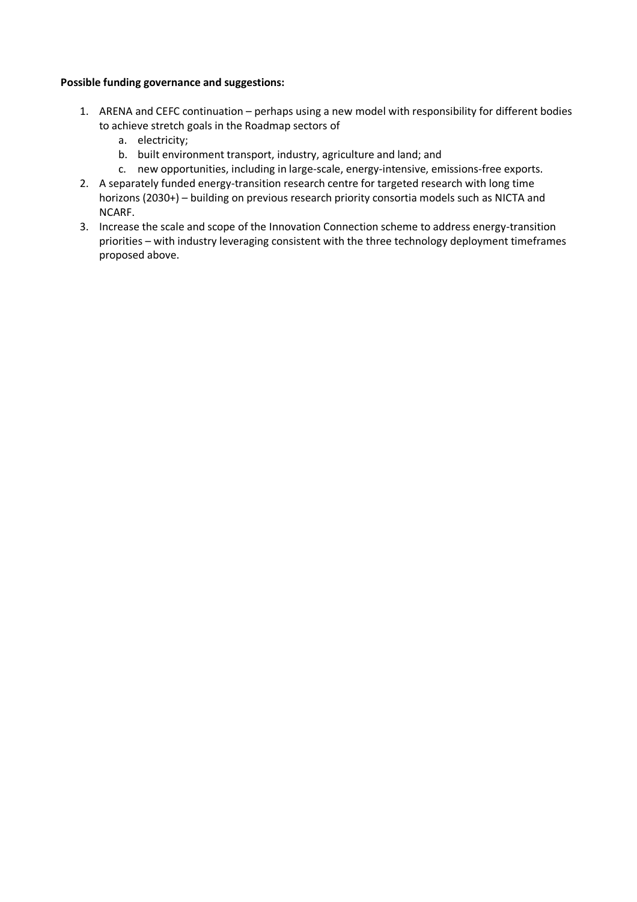### **Possible funding governance and suggestions:**

- 1. ARENA and CEFC continuation perhaps using a new model with responsibility for different bodies to achieve stretch goals in the Roadmap sectors of
	- a. electricity;
	- b. built environment transport, industry, agriculture and land; and
	- c. new opportunities, including in large-scale, energy-intensive, emissions-free exports.
- 2. A separately funded energy-transition research centre for targeted research with long time horizons (2030+) – building on previous research priority consortia models such as NICTA and NCARF.
- 3. Increase the scale and scope of the Innovation Connection scheme to address energy-transition priorities – with industry leveraging consistent with the three technology deployment timeframes proposed above.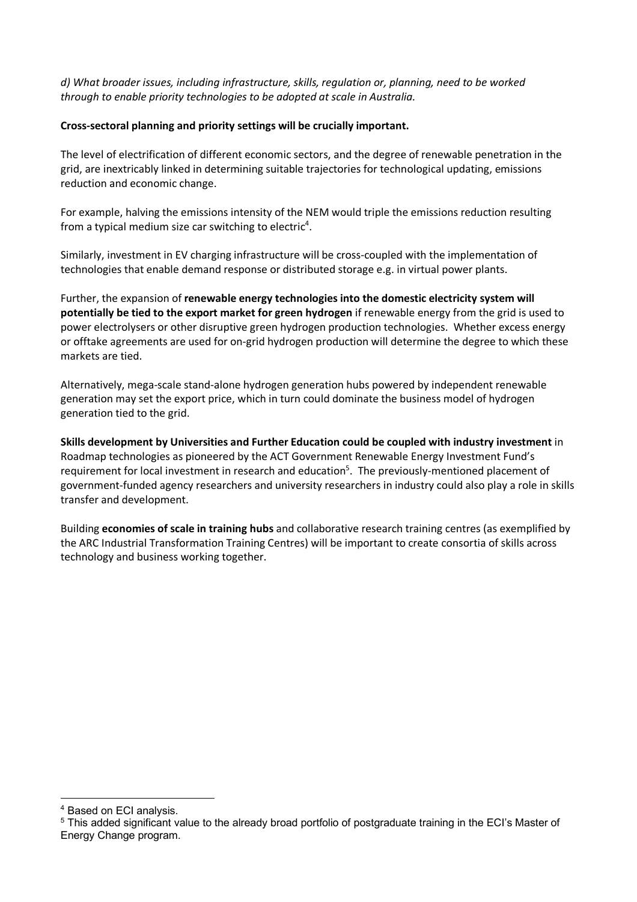*d) What broader issues, including infrastructure, skills, regulation or, planning, need to be worked through to enable priority technologies to be adopted at scale in Australia.*

## **Cross-sectoral planning and priority settings will be crucially important.**

The level of electrification of different economic sectors, and the degree of renewable penetration in the grid, are inextricably linked in determining suitable trajectories for technological updating, emissions reduction and economic change.

For example, halving the emissions intensity of the NEM would triple the emissions reduction resulting from a typical medium size car switching to electric<sup>4</sup>.

Similarly, investment in EV charging infrastructure will be cross-coupled with the implementation of technologies that enable demand response or distributed storage e.g. in virtual power plants.

Further, the expansion of **renewable energy technologies into the domestic electricity system will potentially be tied to the export market for green hydrogen** if renewable energy from the grid is used to power electrolysers or other disruptive green hydrogen production technologies. Whether excess energy or offtake agreements are used for on-grid hydrogen production will determine the degree to which these markets are tied.

Alternatively, mega-scale stand-alone hydrogen generation hubs powered by independent renewable generation may set the export price, which in turn could dominate the business model of hydrogen generation tied to the grid.

**Skills development by Universities and Further Education could be coupled with industry investment** in Roadmap technologies as pioneered by the ACT Government Renewable Energy Investment Fund's requirement for local investment in research and education<sup>5</sup>. The previously-mentioned placement of government-funded agency researchers and university researchers in industry could also play a role in skills transfer and development.

Building **economies of scale in training hubs** and collaborative research training centres (as exemplified by the ARC Industrial Transformation Training Centres) will be important to create consortia of skills across technology and business working together.

 $\overline{a}$ 

<sup>4</sup> Based on ECI analysis.

<sup>5</sup> This added significant value to the already broad portfolio of postgraduate training in the ECI's Master of Energy Change program.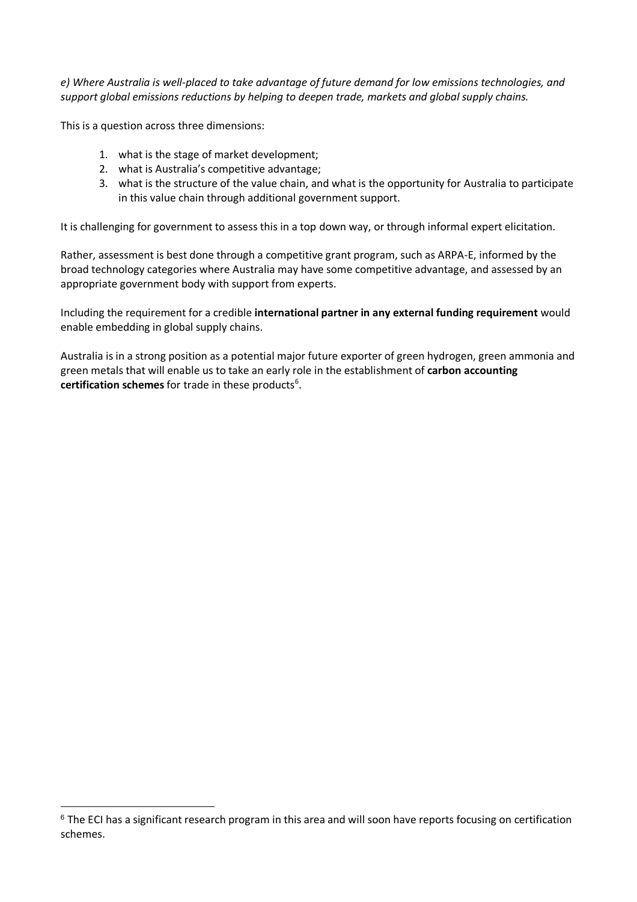*e) Where Australia is well-placed to take advantage of future demand for low emissions technologies, and support global emissions reductions by helping to deepen trade, markets and global supply chains.*

This is a question across three dimensions:

 $\overline{a}$ 

- 1. what is the stage of market development;
- 2. what is Australia's competitive advantage;
- 3. what is the structure of the value chain, and what is the opportunity for Australia to participate in this value chain through additional government support.

It is challenging for government to assess this in a top down way, or through informal expert elicitation.

Rather, assessment is best done through a competitive grant program, such as ARPA-E, informed by the broad technology categories where Australia may have some competitive advantage, and assessed by an appropriate government body with support from experts.

Including the requirement for a credible **international partner in any external funding requirement** would enable embedding in global supply chains.

Australia is in a strong position as a potential major future exporter of green hydrogen, green ammonia and green metals that will enable us to take an early role in the establishment of **carbon accounting**  certification schemes for trade in these products<sup>6</sup>.

<sup>&</sup>lt;sup>6</sup> The ECI has a significant research program in this area and will soon have reports focusing on certification schemes.